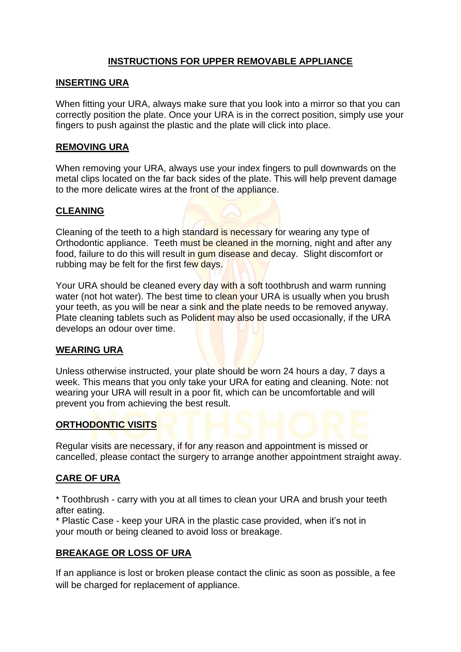# **INSTRUCTIONS FOR UPPER REMOVABLE APPLIANCE**

### **INSERTING URA**

When fitting your URA, always make sure that you look into a mirror so that you can correctly position the plate. Once your URA is in the correct position, simply use your fingers to push against the plastic and the plate will click into place.

### **REMOVING URA**

When removing your URA, always use your index fingers to pull downwards on the metal clips located on the far back sides of the plate. This will help prevent damage to the more delicate wires at the front of the appliance.

### **CLEANING**

Cleaning of the teeth to a high standard is necessary for wearing any type of Orthodontic appliance. Teeth must be cleaned in the morning, night and after any food, failure to do this will result in gum disease and decay. Slight discomfort or rubbing may be felt for the first few days.

Your URA should be cleaned every day with a soft toothbrush and warm running water (not hot water). The best time to clean your URA is usually when you brush your teeth, as you will be near a sink and the plate needs to be removed anyway. Plate cleaning tablets such as Polident may also be used occasionally, if the URA develops an odour over time.

# **WEARING URA**

Unless otherwise instructed, your plate should be worn 24 hours a day, 7 days a week. This means that you only take your URA for eating and cleaning. Note: not wearing your URA will result in a poor fit, which can be uncomfortable and will prevent you from achieving the best result.

### **ORTHODONTIC VISITS**

Regular visits are necessary, if for any reason and appointment is missed or cancelled, please contact the surgery to arrange another appointment straight away.

# **CARE OF URA**

\* Toothbrush - carry with you at all times to clean your URA and brush your teeth after eating.

\* Plastic Case - keep your URA in the plastic case provided, when it's not in your mouth or being cleaned to avoid loss or breakage.

# **BREAKAGE OR LOSS OF URA**

If an appliance is lost or broken please contact the clinic as soon as possible, a fee will be charged for replacement of appliance.